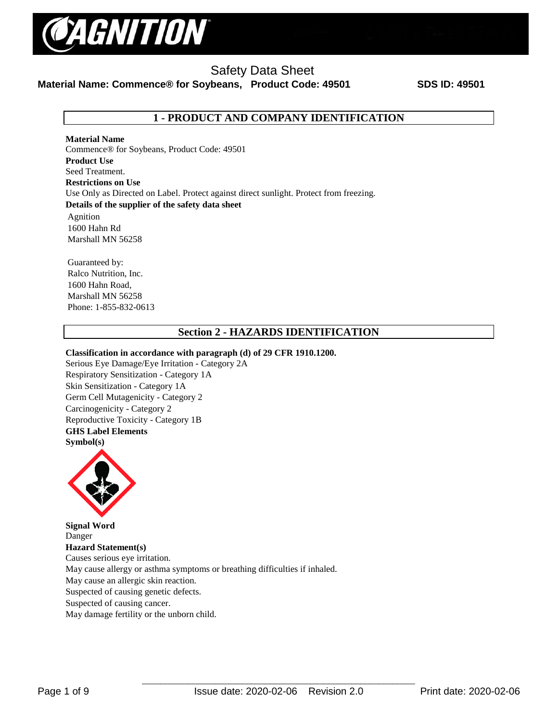

# Safety Data Sheet

**Material Name: Commence® for Soybeans, Product Code: 49501 SDS ID: 49501**

# **1 - PRODUCT AND COMPANY IDENTIFICATION**

**Material Name**  Commence® for Soybeans, Product Code: 49501 **Product Use** Seed Treatment. **Restrictions on Use** Use Only as Directed on Label. Protect against direct sunlight. Protect from freezing. **Details of the supplier of the safety data sheet**

Agnition 1600 Hahn Rd Marshall MN 56258

Guaranteed by: Ralco Nutrition, Inc. 1600 Hahn Road, Marshall MN 56258 Phone: 1-855-832-0613

# **Section 2 - HAZARDS IDENTIFICATION**

#### **Classification in accordance with paragraph (d) of 29 CFR 1910.1200.**

Serious Eye Damage/Eye Irritation - Category 2A Respiratory Sensitization - Category 1A Skin Sensitization - Category 1A Germ Cell Mutagenicity - Category 2 Carcinogenicity - Category 2 Reproductive Toxicity - Category 1B **GHS Label Elements Symbol(s)** 



**Signal Word**  Danger **Hazard Statement(s)**  Causes serious eye irritation. May cause allergy or asthma symptoms or breathing difficulties if inhaled. May cause an allergic skin reaction. Suspected of causing genetic defects. Suspected of causing cancer. May damage fertility or the unborn child.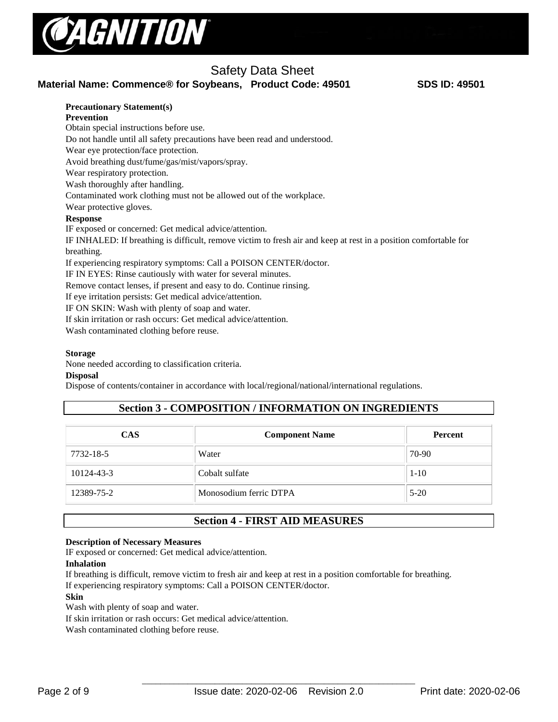

# Safety Data Sheet

**Material Name: Commence® for Soybeans, Product Code: 49501 SDS ID: 49501**

#### **Precautionary Statement(s)**

**Prevention** 

Obtain special instructions before use.

Do not handle until all safety precautions have been read and understood.

Wear eye protection/face protection.

Avoid breathing dust/fume/gas/mist/vapors/spray.

Wear respiratory protection.

Wash thoroughly after handling.

Contaminated work clothing must not be allowed out of the workplace.

Wear protective gloves.

#### **Response**

IF exposed or concerned: Get medical advice/attention.

IF INHALED: If breathing is difficult, remove victim to fresh air and keep at rest in a position comfortable for breathing.

If experiencing respiratory symptoms: Call a POISON CENTER/doctor.

IF IN EYES: Rinse cautiously with water for several minutes.

Remove contact lenses, if present and easy to do. Continue rinsing.

If eye irritation persists: Get medical advice/attention.

IF ON SKIN: Wash with plenty of soap and water.

If skin irritation or rash occurs: Get medical advice/attention.

Wash contaminated clothing before reuse.

#### **Storage**

None needed according to classification criteria.

#### **Disposal**

Dispose of contents/container in accordance with local/regional/national/international regulations.

# **Section 3 - COMPOSITION / INFORMATION ON INGREDIENTS**

| <b>CAS</b> | <b>Component Name</b>  | Percent  |  |
|------------|------------------------|----------|--|
| 7732-18-5  | Water                  | 70-90    |  |
| 10124-43-3 | Cobalt sulfate         | $1 - 10$ |  |
| 12389-75-2 | Monosodium ferric DTPA | $5-20$   |  |

# **Section 4 - FIRST AID MEASURES**

#### **Description of Necessary Measures**

IF exposed or concerned: Get medical advice/attention.

#### **Inhalation**

If breathing is difficult, remove victim to fresh air and keep at rest in a position comfortable for breathing.

If experiencing respiratory symptoms: Call a POISON CENTER/doctor.

#### **Skin**

Wash with plenty of soap and water.

If skin irritation or rash occurs: Get medical advice/attention.

Wash contaminated clothing before reuse.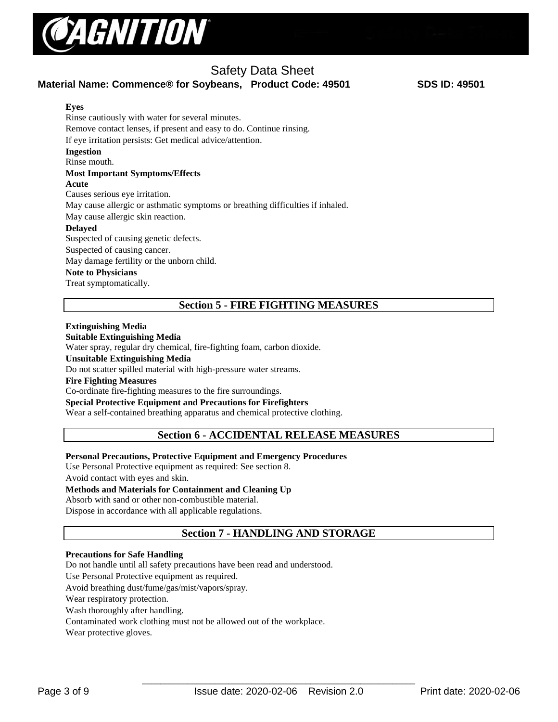

#### **Eyes** Rinse cautiously with water for several minutes. Remove contact lenses, if present and easy to do. Continue rinsing. If eye irritation persists: Get medical advice/attention. **Ingestion** Rinse mouth. **Most Important Symptoms/Effects Acute**  Causes serious eye irritation. May cause allergic or asthmatic symptoms or breathing difficulties if inhaled. May cause allergic skin reaction. **Delayed**  Suspected of causing genetic defects. Suspected of causing cancer. May damage fertility or the unborn child. **Note to Physicians**

Treat symptomatically.

# **Section 5 - FIRE FIGHTING MEASURES**

#### **Extinguishing Media**

#### **Suitable Extinguishing Media**

Water spray, regular dry chemical, fire-fighting foam, carbon dioxide.

**Unsuitable Extinguishing Media**

Do not scatter spilled material with high-pressure water streams.

#### **Fire Fighting Measures**

Co-ordinate fire-fighting measures to the fire surroundings.

#### **Special Protective Equipment and Precautions for Firefighters**

Wear a self-contained breathing apparatus and chemical protective clothing.

# **Section 6 - ACCIDENTAL RELEASE MEASURES**

#### **Personal Precautions, Protective Equipment and Emergency Procedures**

Use Personal Protective equipment as required: See section 8. Avoid contact with eyes and skin.

#### **Methods and Materials for Containment and Cleaning Up**

Absorb with sand or other non-combustible material.

Dispose in accordance with all applicable regulations.

# **Section 7 - HANDLING AND STORAGE**

#### **Precautions for Safe Handling**

Do not handle until all safety precautions have been read and understood.

Use Personal Protective equipment as required.

Avoid breathing dust/fume/gas/mist/vapors/spray.

Wear respiratory protection.

Wash thoroughly after handling.

Contaminated work clothing must not be allowed out of the workplace.

Wear protective gloves.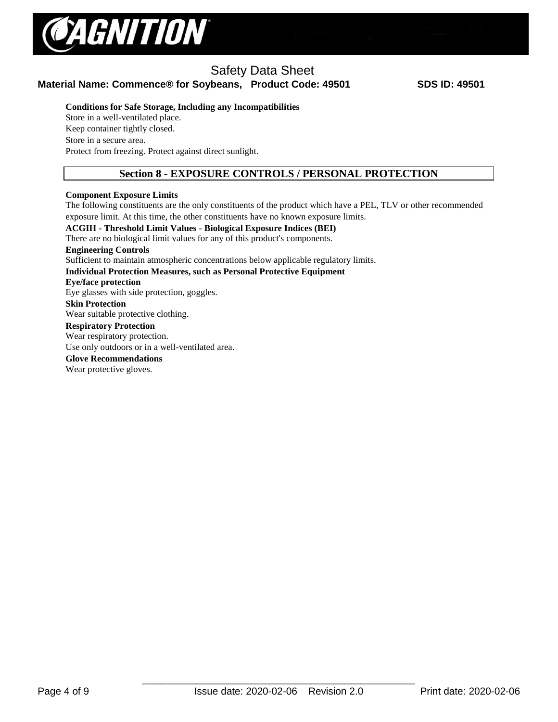

#### **Conditions for Safe Storage, Including any Incompatibilities**

Store in a well-ventilated place. Keep container tightly closed. Store in a secure area. Protect from freezing. Protect against direct sunlight.

### **Section 8 - EXPOSURE CONTROLS / PERSONAL PROTECTION**

#### **Component Exposure Limits**

The following constituents are the only constituents of the product which have a PEL, TLV or other recommended exposure limit. At this time, the other constituents have no known exposure limits.

# **ACGIH - Threshold Limit Values - Biological Exposure Indices (BEI)**

There are no biological limit values for any of this product's components.

**Engineering Controls**

Sufficient to maintain atmospheric concentrations below applicable regulatory limits.

**Individual Protection Measures, such as Personal Protective Equipment** 

#### **Eye/face protection**

Eye glasses with side protection, goggles.

**Skin Protection** 

Wear suitable protective clothing.

#### **Respiratory Protection**

Wear respiratory protection.

Use only outdoors or in a well-ventilated area.

#### **Glove Recommendations**

Wear protective gloves.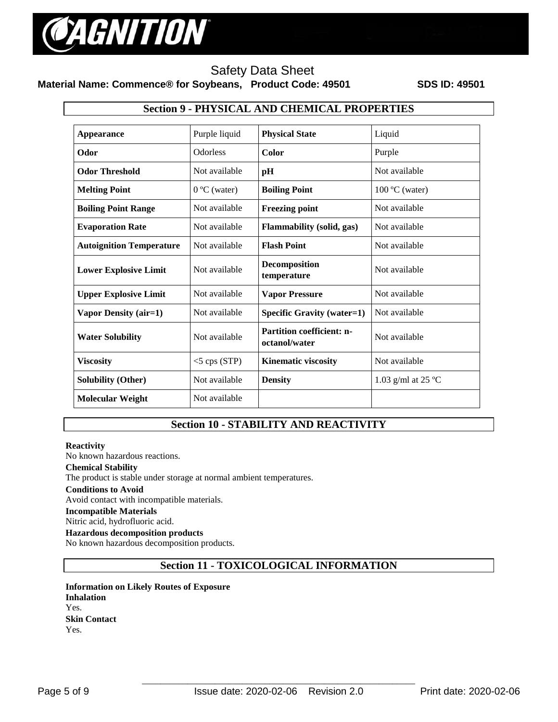

#### **Section 9 - PHYSICAL AND CHEMICAL PROPERTIES**

| <b>Appearance</b>               | Purple liquid         | <b>Physical State</b>                                              | Liquid                       |  |
|---------------------------------|-----------------------|--------------------------------------------------------------------|------------------------------|--|
| Odor                            | <b>Odorless</b>       | Color                                                              | Purple                       |  |
| <b>Odor Threshold</b>           | Not available         | pH                                                                 | Not available                |  |
| <b>Melting Point</b>            | $0^{\circ}$ C (water) | <b>Boiling Point</b>                                               | $100 \degree C$ (water)      |  |
| <b>Boiling Point Range</b>      | Not available         | <b>Freezing point</b>                                              | Not available                |  |
| <b>Evaporation Rate</b>         | Not available         | Not available<br>Flammability (solid, gas)                         |                              |  |
| <b>Autoignition Temperature</b> | Not available         | <b>Flash Point</b>                                                 | Not available                |  |
| <b>Lower Explosive Limit</b>    | Not available         | <b>Decomposition</b><br>temperature                                | Not available                |  |
| <b>Upper Explosive Limit</b>    | Not available         | <b>Vapor Pressure</b>                                              | Not available                |  |
| Vapor Density (air=1)           | Not available         | <b>Specific Gravity (water=1)</b>                                  | Not available                |  |
| <b>Water Solubility</b>         | Not available         | <b>Partition coefficient: n-</b><br>Not available<br>octanol/water |                              |  |
| <b>Viscosity</b>                | $<$ 5 cps (STP)       | Not available<br><b>Kinematic viscosity</b>                        |                              |  |
| <b>Solubility (Other)</b>       | Not available         | <b>Density</b>                                                     | 1.03 g/ml at 25 $^{\circ}$ C |  |
| <b>Molecular Weight</b>         | Not available         |                                                                    |                              |  |

# **Section 10 - STABILITY AND REACTIVITY**

#### **Reactivity**

No known hazardous reactions.

#### **Chemical Stability**

The product is stable under storage at normal ambient temperatures.

#### **Conditions to Avoid**

Avoid contact with incompatible materials.

#### **Incompatible Materials**

Nitric acid, hydrofluoric acid.

#### **Hazardous decomposition products**

No known hazardous decomposition products.

### **Section 11 - TOXICOLOGICAL INFORMATION**

**Information on Likely Routes of Exposure Inhalation**  Yes. **Skin Contact**  Yes.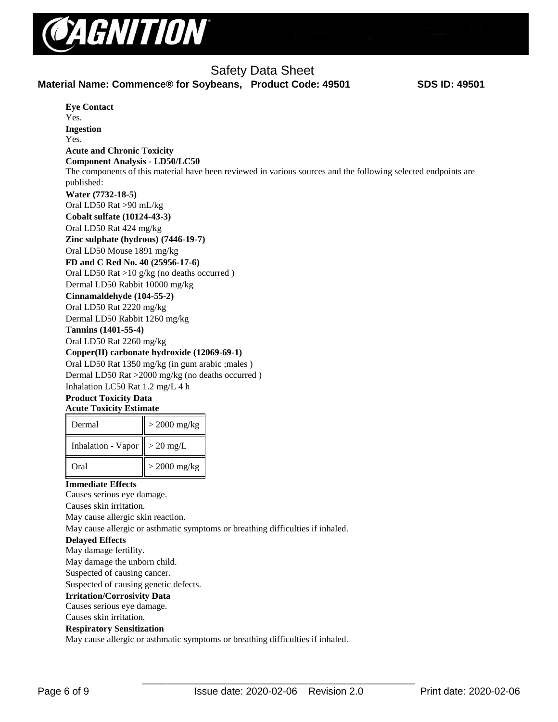

**Eye Contact**  Yes. **Ingestion**  Yes. **Acute and Chronic Toxicity Component Analysis - LD50/LC50**  The components of this material have been reviewed in various sources and the following selected endpoints are published: **Water (7732-18-5)** Oral LD50 Rat >90 mL/kg **Cobalt sulfate (10124-43-3)** Oral LD50 Rat 424 mg/kg **Zinc sulphate (hydrous) (7446-19-7)** Oral LD50 Mouse 1891 mg/kg **FD and C Red No. 40 (25956-17-6)** Oral LD50 Rat >10 g/kg (no deaths occurred ) Dermal LD50 Rabbit 10000 mg/kg **Cinnamaldehyde (104-55-2)** Oral LD50 Rat 2220 mg/kg Dermal LD50 Rabbit 1260 mg/kg **Tannins (1401-55-4)** Oral LD50 Rat 2260 mg/kg **Copper(II) carbonate hydroxide (12069-69-1)** Oral LD50 Rat 1350 mg/kg (in gum arabic ;males ) Dermal LD50 Rat >2000 mg/kg (no deaths occurred ) Inhalation LC50 Rat 1.2 mg/L 4 h **Product Toxicity Data Acute Toxicity Estimate**  Dermal  $\vert\vert > 2000$  mg/kg Inhalation - Vapor  $\vert \vert > 20$  mg/L Oral  $\vert\vert > 2000$  mg/kg **Immediate Effects**  Causes serious eye damage. Causes skin irritation. May cause allergic skin reaction. May cause allergic or asthmatic symptoms or breathing difficulties if inhaled.

#### **Delayed Effects**

May damage fertility.

May damage the unborn child.

Suspected of causing cancer.

Suspected of causing genetic defects.

#### **Irritation/Corrosivity Data**

Causes serious eye damage. Causes skin irritation.

#### **Respiratory Sensitization**

May cause allergic or asthmatic symptoms or breathing difficulties if inhaled.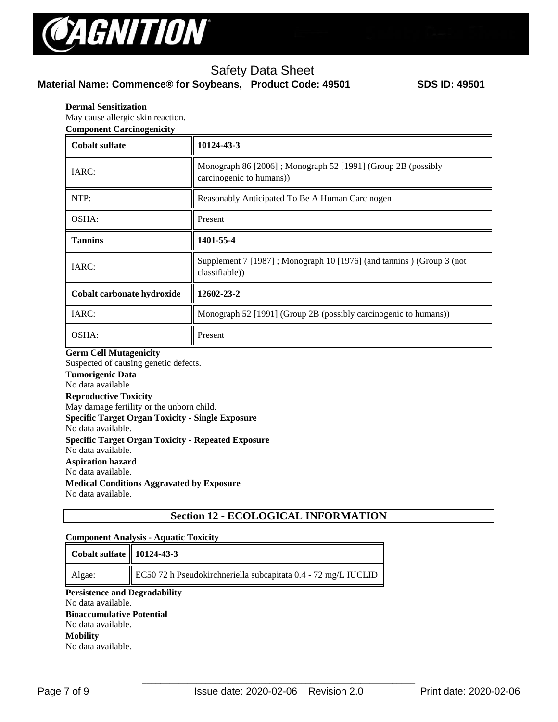

#### **Dermal Sensitization**

May cause allergic skin reaction. **Component Carcinogenicity** 

| <b>Cobalt sulfate</b>      | 10124-43-3                                                                               |  |
|----------------------------|------------------------------------------------------------------------------------------|--|
| IARC:                      | Monograph 86 [2006]; Monograph 52 [1991] (Group 2B (possibly<br>carcinogenic to humans)) |  |
| NTP:                       | Reasonably Anticipated To Be A Human Carcinogen                                          |  |
| OSHA:                      | Present                                                                                  |  |
| <b>Tannins</b>             | 1401-55-4                                                                                |  |
| IARC:                      | Supplement 7 [1987]; Monograph 10 [1976] (and tannins) (Group 3 (not<br>classifiable))   |  |
| Cobalt carbonate hydroxide | 12602-23-2                                                                               |  |
| IARC:                      | Monograph 52 [1991] (Group 2B (possibly carcinogenic to humans))                         |  |
| OSHA:                      | Present                                                                                  |  |

#### **Germ Cell Mutagenicity**

Suspected of causing genetic defects.

**Tumorigenic Data** 

# No data available

**Reproductive Toxicity**  May damage fertility or the unborn child.

**Specific Target Organ Toxicity - Single Exposure** 

No data available.

**Specific Target Organ Toxicity - Repeated Exposure** 

No data available.

**Aspiration hazard** 

No data available.

**Medical Conditions Aggravated by Exposure**

No data available.

# **Section 12 - ECOLOGICAL INFORMATION**

#### **Component Analysis - Aquatic Toxicity**

| Cobalt sulfate   10124-43-3          |                                                                |
|--------------------------------------|----------------------------------------------------------------|
| Algae:                               | EC50 72 h Pseudokirchneriella subcapitata 0.4 - 72 mg/L IUCLID |
| <b>Persistence and Degradability</b> |                                                                |
| No data available.                   |                                                                |

**Bioaccumulative Potential**  No data available. **Mobility**  No data available.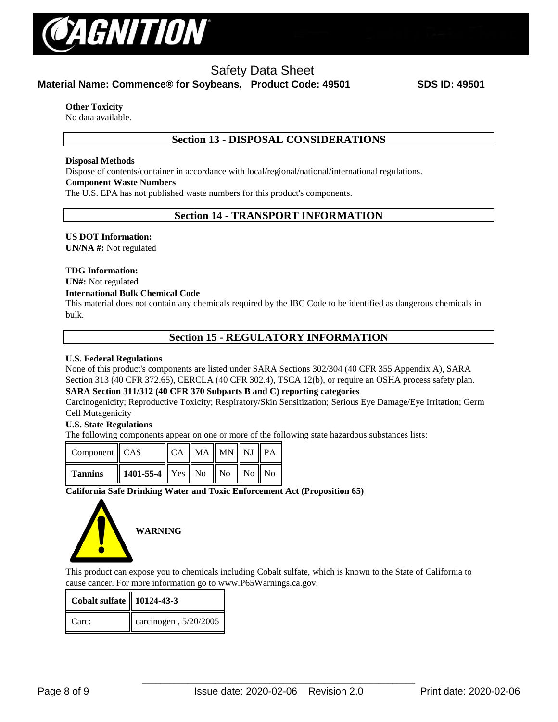

# Safety Data Sheet

**Material Name: Commence® for Soybeans, Product Code: 49501 SDS ID: 49501**

#### **Other Toxicity**

No data available.

# **Section 13 - DISPOSAL CONSIDERATIONS**

#### **Disposal Methods**

Dispose of contents/container in accordance with local/regional/national/international regulations.

#### **Component Waste Numbers**

The U.S. EPA has not published waste numbers for this product's components.

### **Section 14 - TRANSPORT INFORMATION**

#### **US DOT Information:**

**UN/NA #:** Not regulated

#### **TDG Information:**

# **UN#:** Not regulated

#### **International Bulk Chemical Code**

This material does not contain any chemicals required by the IBC Code to be identified as dangerous chemicals in bulk.

### **Section 15 - REGULATORY INFORMATION**

#### **U.S. Federal Regulations**

None of this product's components are listed under SARA Sections 302/304 (40 CFR 355 Appendix A), SARA Section 313 (40 CFR 372.65), CERCLA (40 CFR 302.4), TSCA 12(b), or require an OSHA process safety plan.

#### **SARA Section 311/312 (40 CFR 370 Subparts B and C) reporting categories**

Carcinogenicity; Reproductive Toxicity; Respiratory/Skin Sensitization; Serious Eye Damage/Eye Irritation; Germ Cell Mutagenicity

#### **U.S. State Regulations**

The following components appear on one or more of the following state hazardous substances lists:

| Component   CAS |                                                                                                   |  | $\ $ CA $\ $ MA $\ $ MN $\ $ NJ $\ $ PA |  |
|-----------------|---------------------------------------------------------------------------------------------------|--|-----------------------------------------|--|
| <b>Tannins</b>  | $\parallel$ 1401-55-4 $\parallel$ Yes $\parallel$ No $\parallel$ No $\parallel$ No $\parallel$ No |  |                                         |  |

#### **California Safe Drinking Water and Toxic Enforcement Act (Proposition 65)**



This product can expose you to chemicals including Cobalt sulfate, which is known to the State of California to cause cancer. For more information go to www.P65Warnings.ca.gov.

| <b>Cobalt sulfate   10124-43-3</b> |                       |
|------------------------------------|-----------------------|
| Carc:                              | carcinogen, 5/20/2005 |